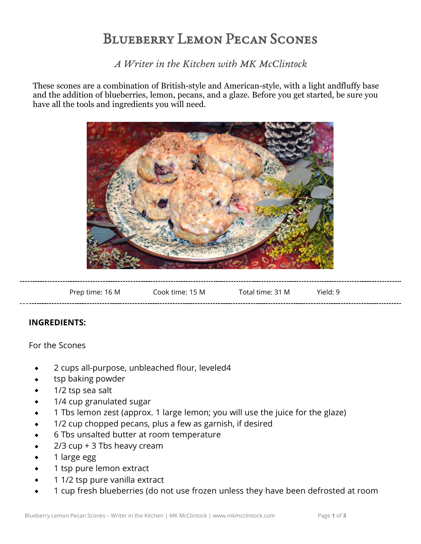## Blueberry Lemon Pecan Scones

*A Writer in the Kitchen with MK McClintock*

These scones are a combination of British-style and American-style, with a light andfluffy base and the addition of blueberries, lemon, pecans, and a glaze. Before you get started, be sure you have all the tools and ingredients you will need.



| Total time: 31 M<br>Yield: 9 | Cook time: 15 M | Prep time: 16 M |
|------------------------------|-----------------|-----------------|
|------------------------------|-----------------|-----------------|

## **INGREDIENTS:**

For the Scones

- 2 cups all-purpose, unbleached flour, leveled4
- tsp baking powder
- 1/2 tsp sea salt
- 1/4 cup granulated sugar
- 1 Tbs lemon zest (approx. 1 large lemon; you will use the juice for the glaze)
- 1/2 cup chopped pecans, plus a few as garnish, if desired
- 6 Tbs unsalted butter at room temperature
- 2/3 cup + 3 Tbs heavy cream
- 1 large egg
- 1 tsp pure lemon extract
- 1 1/2 tsp pure vanilla extract
- 1 cup fresh blueberries (do not use frozen unless they have been defrosted at room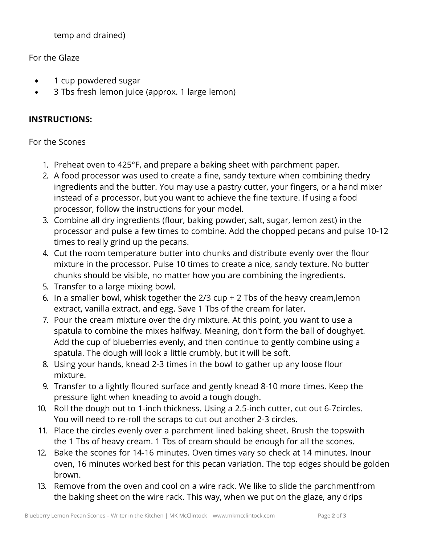temp and drained)

For the Glaze

- 1 cup powdered sugar
- 3 Tbs fresh lemon juice (approx. 1 large lemon)  $\bullet$

## **INSTRUCTIONS:**

## For the Scones

- 1. Preheat oven to 425°F, and prepare a baking sheet with parchment paper.
- 2. A food processor was used to create a fine, sandy texture when combining thedry ingredients and the butter. You may use a pastry cutter, your fingers, or a hand mixer instead of a processor, but you want to achieve the fine texture. If using a food processor, follow the instructions for your model.
- 3. Combine all dry ingredients (flour, baking powder, salt, sugar, lemon zest) in the processor and pulse a few times to combine. Add the chopped pecans and pulse 10-12 times to really grind up the pecans.
- 4. Cut the room temperature butter into chunks and distribute evenly over the flour mixture in the processor. Pulse 10 times to create a nice, sandy texture. No butter chunks should be visible, no matter how you are combining the ingredients.
- 5. Transfer to a large mixing bowl.
- 6. In a smaller bowl, whisk together the 2/3 cup + 2 Tbs of the heavy cream,lemon extract, vanilla extract, and egg. Save 1 Tbs of the cream for later.
- 7. Pour the cream mixture over the dry mixture. At this point, you want to use a spatula to combine the mixes halfway. Meaning, don't form the ball of doughyet. Add the cup of blueberries evenly, and then continue to gently combine using a spatula. The dough will look a little crumbly, but it will be soft.
- 8. Using your hands, knead 2-3 times in the bowl to gather up any loose flour mixture.
- 9. Transfer to a lightly floured surface and gently knead 8-10 more times. Keep the pressure light when kneading to avoid a tough dough.
- 10. Roll the dough out to 1-inch thickness. Using a 2.5-inch cutter, cut out 6-7circles. You will need to re-roll the scraps to cut out another 2-3 circles.
- 11. Place the circles evenly over a parchment lined baking sheet. Brush the topswith the 1 Tbs of heavy cream. 1 Tbs of cream should be enough for all the scones.
- 12. Bake the scones for 14-16 minutes. Oven times vary so check at 14 minutes. Inour oven, 16 minutes worked best for this pecan variation. The top edges should be golden brown.
- 13. Remove from the oven and cool on a wire rack. We like to slide the parchmentfrom the baking sheet on the wire rack. This way, when we put on the glaze, any drips